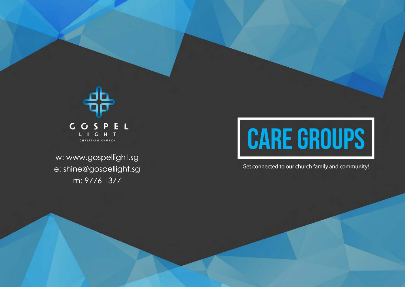

w: www.gospellight.sg e: shine@gospellight.sg m: 9776 1377

## **CARE GROUPS**

Get connected to our church family and community!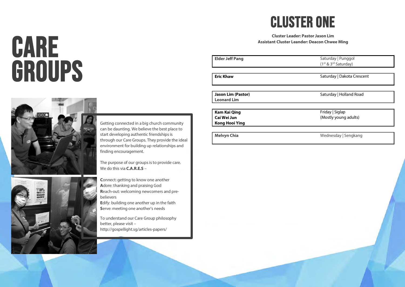# **CARE<br>GROUPS**



Getting connected in a big church community can be daunting. We believe the best place to start developing authentic friendships is through our Care Groups. They provide the ideal environment for building up relationships and finding encouragement.

The purpose of our groups is to provide care. We do this via **C.A.R.E.S** –

**C**onnect: getting to know one another **A**dore: thanking and praising God **R**each-out: welcoming newcomers and prebelievers

**E**dify: building one another up in the faith **S**erve: meeting one another's needs

To understand our Care Group philosophy better, please visit – http://gospellight.sg/articles-papers/

### CLUSTER ONE

**Cluster Leader: Pastor Jason Lim Assistant Cluster Leander: Deacon Chwee Ming** 

**Elder Jeff Pang** Saturday | Punggol (1st & 3rd Saturday) **Eric Khaw** Saturday | Dakota Crescent **Jason Lim (Pastor)** Saturday | Holland Road **Leonard Lim Kam Kai Qing** Friday | Siglap **Cai Wei Jun** (Mostly young adults) **Kong Hooi Ying**

**Melvyn Chia** Wednesday | Sengkang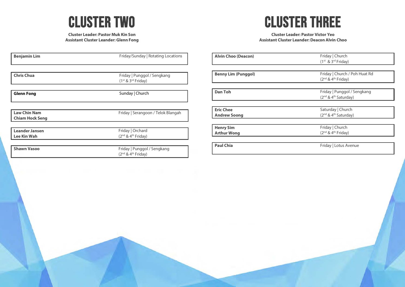

**Cluster Leader: Pastor Muk Kin Son Assistant Cluster Leander: Glenn Fong**

| <b>Benjamin Lim</b>                           | Friday/Sunday   Rotating Locations                   |
|-----------------------------------------------|------------------------------------------------------|
|                                               |                                                      |
| <b>Chris Chua</b>                             | Friday   Punggol / Sengkang<br>$(1st & 3rd Friday)$  |
| <b>Glenn Fong</b>                             | Sunday   Church                                      |
|                                               |                                                      |
| <b>Law Chin Nam</b><br><b>Chiam Hock Seng</b> | Friday   Serangoon / Telok Blangah                   |
|                                               |                                                      |
| <b>Leander Jansen</b><br><b>Lee Kin Wah</b>   | Friday   Orchard<br>$(2nd$ & 4 <sup>th</sup> Friday) |
| <b>Shawn Vasoo</b>                            | Friday   Punggol / Sengkang                          |
|                                               | $(2nd$ & 4 <sup>th</sup> Friday)                     |

## CLUSTER THREE

#### **Cluster Leader: Pastor Victor Yeo Assistant Cluster Leander: Deacon Alvin Choo**

| <b>Alvin Choo (Deacon)</b> | Friday   Church<br>$(1st & 3rd Friday)$                                     |
|----------------------------|-----------------------------------------------------------------------------|
| <b>Benny Lim (Punggol)</b> | Friday   Church / Poh Huat Rd                                               |
|                            | $(2nd$ & 4 <sup>th</sup> Friday)                                            |
|                            |                                                                             |
| <b>Dan Toh</b>             | Friday   Punggol / Sengkang<br>(2 <sup>nd</sup> & 4 <sup>th</sup> Saturday) |
|                            |                                                                             |
| <b>Eric Chee</b>           | Saturday   Church                                                           |
| <b>Andrew Soong</b>        | (2 <sup>nd</sup> & 4 <sup>th</sup> Saturday)                                |
| <b>Henry Sim</b>           | Friday   Church                                                             |
| <b>Arthur Wong</b>         | (2 <sup>nd</sup> & 4 <sup>th</sup> Friday)                                  |
| <b>Paul Chia</b>           | Friday   Lotus Avenue                                                       |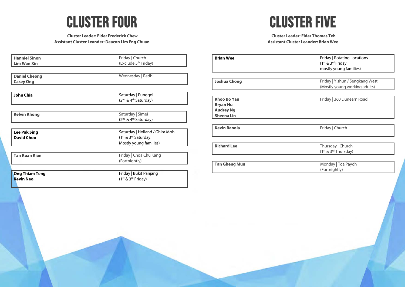### CLUSTER FOUR

**Cluster Leader: Elder Frederick Chew Assistant Cluster Leander: Deacon Lim Eng Chuan**

## CLUSTER FIVE

**Cluster Leader: Elder Thomas Teh Assistant Cluster Leander: Brian Wee**

| <b>Hanniel Sinon</b>  | Friday   Church                              |
|-----------------------|----------------------------------------------|
| <b>Lim Wan Xin</b>    | (Exclude 5 <sup>th</sup> Friday)             |
|                       |                                              |
| <b>Daniel Cheong</b>  | Wednesday   Redhill                          |
| <b>Casey Ong</b>      |                                              |
|                       |                                              |
| <b>John Chia</b>      | Saturday   Punggol                           |
|                       | (2 <sup>nd</sup> & 4 <sup>th</sup> Saturday) |
| <b>Kelvin Khong</b>   | Saturday   Simei                             |
|                       | (2 <sup>nd</sup> & 4 <sup>th</sup> Saturday) |
|                       |                                              |
| <b>Lee Pak Sing</b>   | Saturday   Holland / Ghim Moh                |
| <b>David Choo</b>     | (1 <sup>st</sup> & 3 <sup>rd</sup> Saturday, |
|                       | Mostly young families)                       |
| <b>Tan Kuan Kian</b>  | Friday   Choa Chu Kang                       |
|                       | (Fortnightly)                                |
|                       |                                              |
| <b>Ong Thiam Teng</b> | Friday   Bukit Panjang                       |
| <b>Kevin Neo</b>      | $(1st & 3rd Friday)$                         |
|                       |                                              |

| <b>Brian Wee</b>                                                        | Friday   Rotating Locations<br>(1st & 3rd Friday,<br>mostly young families) |
|-------------------------------------------------------------------------|-----------------------------------------------------------------------------|
| <b>Joshua Chong</b>                                                     | Friday   Yishun / Sengkang West<br>(Mostly young working adults)            |
| Khoo Bo Yan<br><b>Bryan Hu</b><br><b>Audrey Ng</b><br><b>Sheena Lin</b> | Friday   360 Dunearn Road                                                   |
| <b>Kevin Ranola</b>                                                     | Friday   Church                                                             |
| <b>Richard Lee</b>                                                      | Thursday   Church<br>(1 <sup>st</sup> & 3 <sup>rd</sup> Thursday)           |
| <b>Tan Gheng Mun</b>                                                    | Monday   Toa Payoh<br>(Fortnightly)                                         |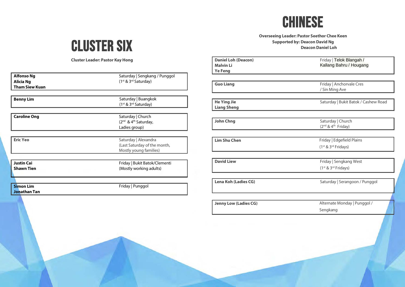

#### **Overseeing Leader: Pastor Seethor Chee Keen Supported by: Deacon David Ng Deacon Daniel Loh**

## CLUSTER SIX

**Cluster Leader: Pastor Kay Hong**

| <b>Alfonso Ng</b>     | Saturday   Sengkang / Punggol                |
|-----------------------|----------------------------------------------|
| Alicia Ng             | (1 <sup>st</sup> & 3 <sup>rd</sup> Saturday) |
| <b>Tham Siew Kuan</b> |                                              |
|                       |                                              |
|                       |                                              |
| <b>Benny Lim</b>      | Saturday   Buangkok                          |
|                       | (1 <sup>st</sup> & 3 <sup>rd</sup> Saturday) |
|                       |                                              |
| <b>Caroline Ong</b>   | Saturday   Church                            |
|                       | (2 <sup>nd</sup> & 4 <sup>th</sup> Saturday, |
|                       | Ladies group)                                |
|                       |                                              |
|                       |                                              |
| <b>Eric Yeo</b>       | Saturday   Alexandra                         |
|                       | (Last Saturday of the month,                 |
|                       | Mostly young families)                       |
|                       |                                              |
| <b>Justin Cai</b>     | Friday   Bukit Batok/Clementi                |
| <b>Shawn Tien</b>     | (Mostly working adults)                      |
|                       |                                              |
|                       |                                              |
|                       |                                              |
| <b>Simon Lim</b>      | Friday   Punggol                             |
| <b>Jonathan Tan</b>   |                                              |
|                       |                                              |

| <b>Daniel Loh (Deacon)</b>   | Friday   Telok Blangah /                    |
|------------------------------|---------------------------------------------|
| <b>Malvin Li</b>             | Kallang Bahru / Hougang                     |
| <b>Ye Feng</b>               |                                             |
|                              |                                             |
| <b>Guo Liang</b>             | Friday   Anchorvale Cres                    |
|                              | / Sin Ming Ave                              |
| <b>He Ying Jie</b>           | Saturday   Bukit Batok / Cashew Road        |
| <b>Liang Sheng</b>           |                                             |
|                              |                                             |
| <b>John Chng</b>             | Saturday   Church                           |
|                              | (2 <sup>nd</sup> & 4 <sup>th</sup> Friday)  |
|                              |                                             |
| <b>Lim Shu Chen</b>          | Friday   Edgefield Plains                   |
|                              | (1 <sup>st</sup> & 3 <sup>rd</sup> Fridays) |
|                              |                                             |
| <b>David Liew</b>            | Friday   Sengkang West                      |
|                              | (1 <sup>st</sup> & 3 <sup>rd</sup> Fridays) |
|                              |                                             |
| Lena Koh (Ladies CG)         | Saturday   Serangoon / Punggol              |
|                              |                                             |
| <b>Jenny Low (Ladies CG)</b> | Alternate Monday   Punggol /                |
|                              | Sengkang                                    |
|                              |                                             |